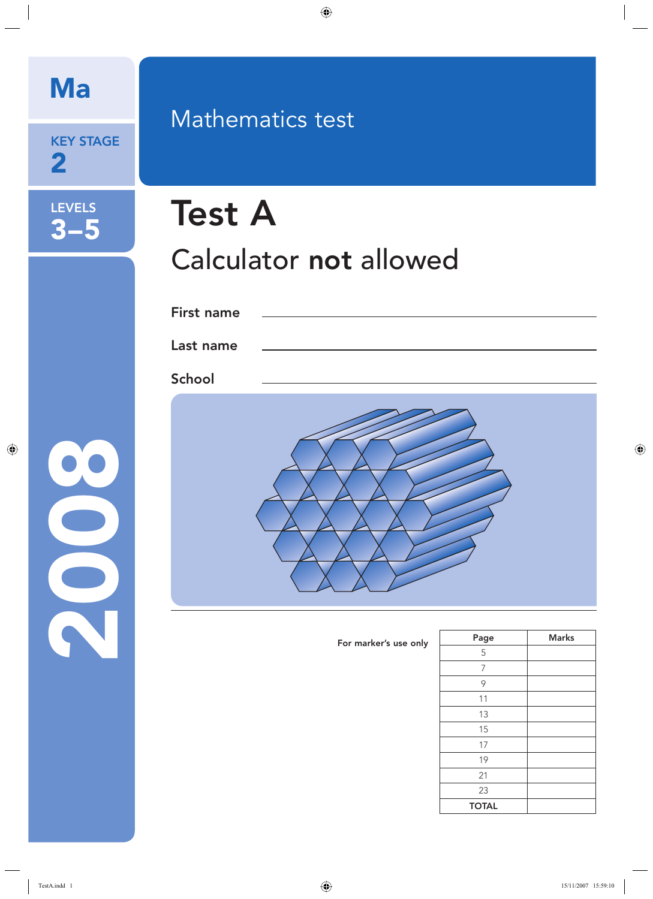KEY STAGE 2

LEVELS

3–5

2008

# Mathematics test

# Test A Calculator not allowed

| First name |  |
|------------|--|
| Last name  |  |
| School     |  |
|            |  |

| For marker's use only | Page         | <b>Marks</b> |
|-----------------------|--------------|--------------|
|                       | 5            |              |
|                       | 7            |              |
|                       | 9            |              |
|                       | 11           |              |
|                       | 13           |              |
|                       | 15           |              |
|                       | 17           |              |
|                       | 19           |              |
|                       | 21           |              |
|                       | 23           |              |
|                       | <b>TOTAL</b> |              |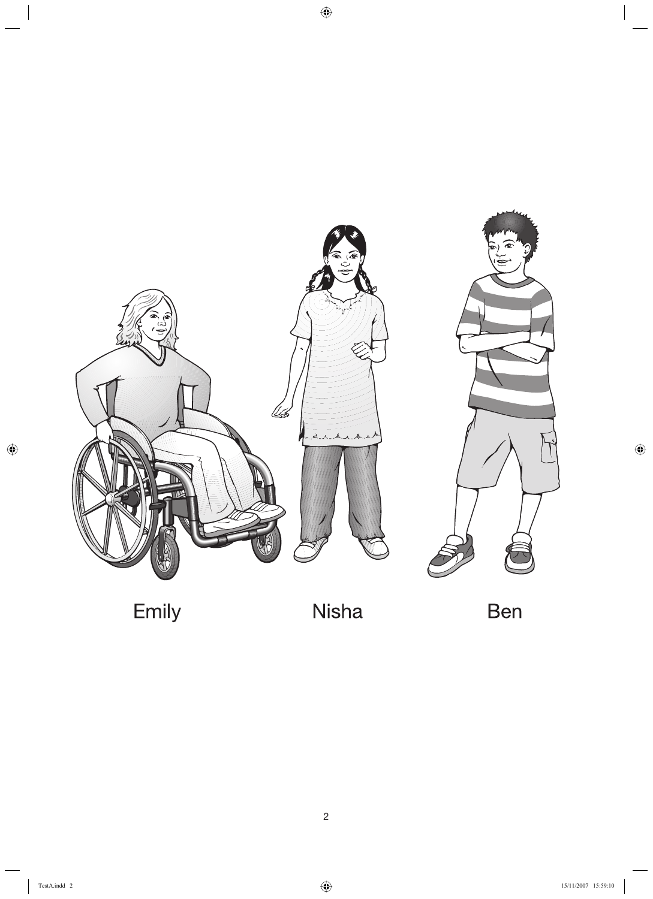

Emily

Nisha

Ben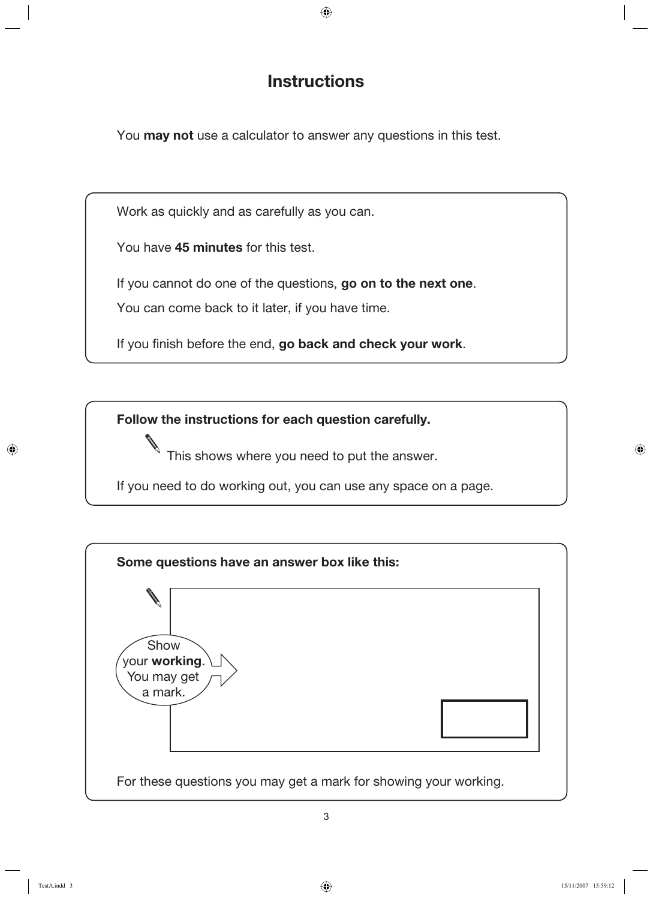## **Instructions**

You **may not** use a calculator to answer any questions in this test.

Work as quickly and as carefully as you can.

You have **45 minutes** for this test.

If you cannot do one of the questions, **go on to the next one**.

You can come back to it later, if you have time.

If you finish before the end, go back and check your work.

**Follow the instructions for each question carefully.**

This shows where you need to put the answer.

If you need to do working out, you can use any space on a page.

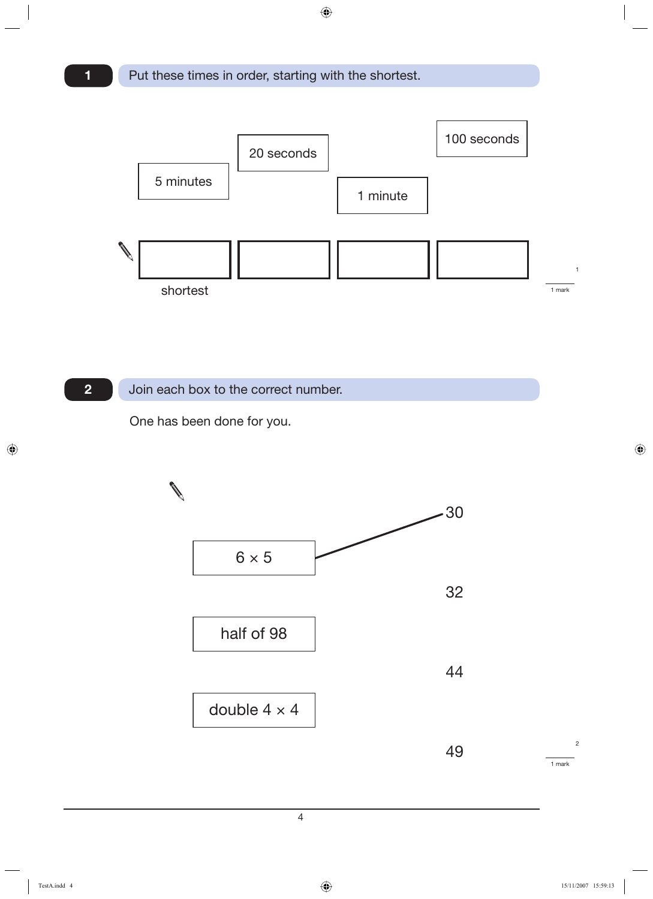

#### Join each box to the correct number.

One has been done for you.

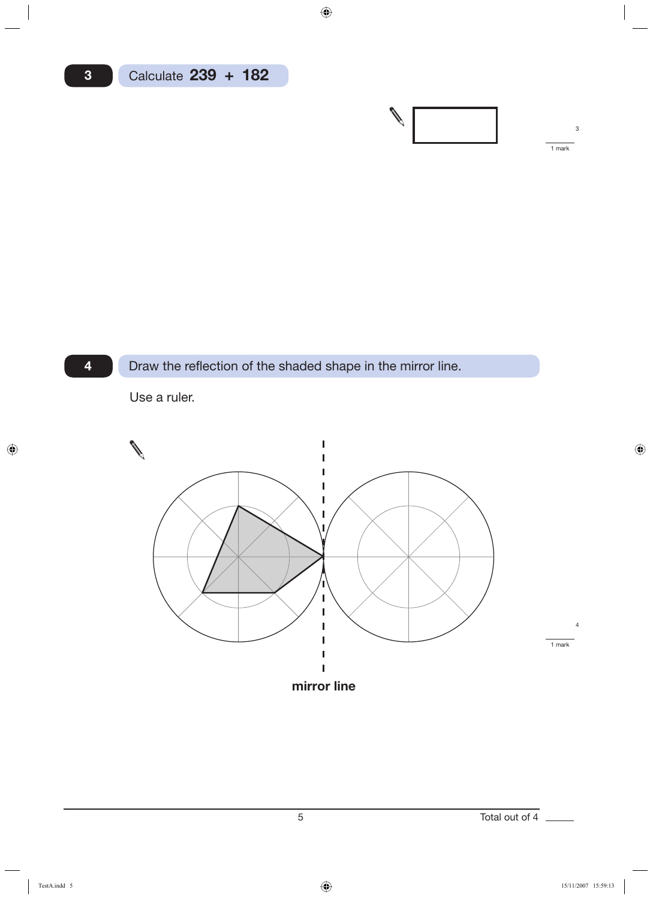

**4**



### Draw the reflection of the shaded shape in the mirror line.

Use a ruler.

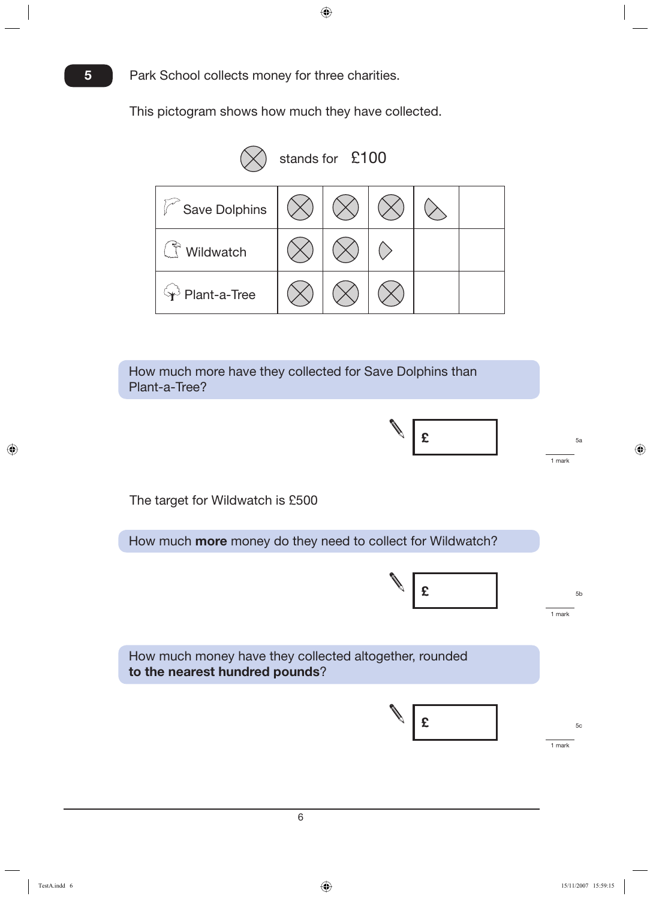This pictogram shows how much they have collected.

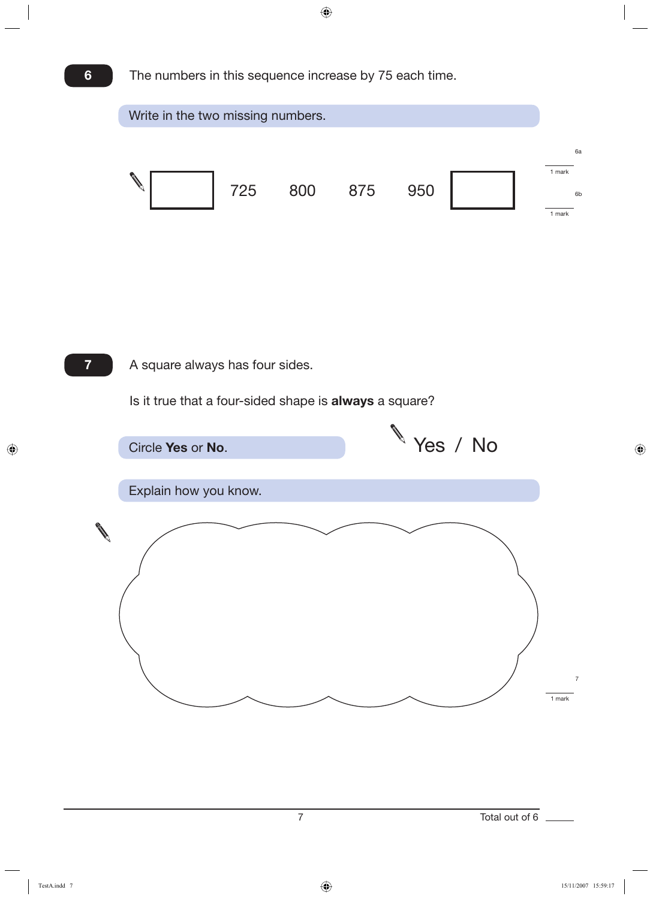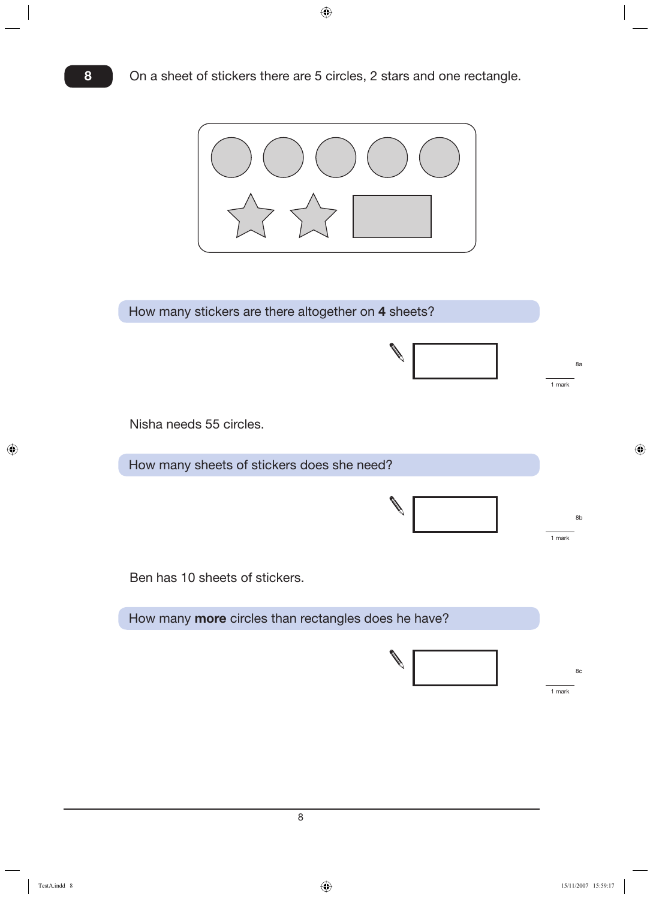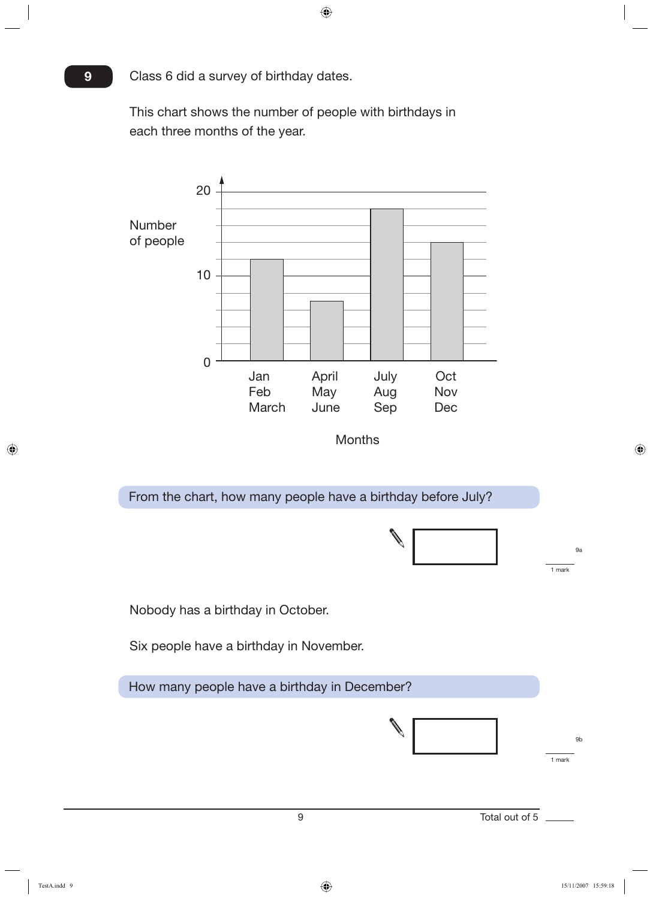Class 6 did a survey of birthday dates.

**9**

This chart shows the number of people with birthdays in each three months of the year.

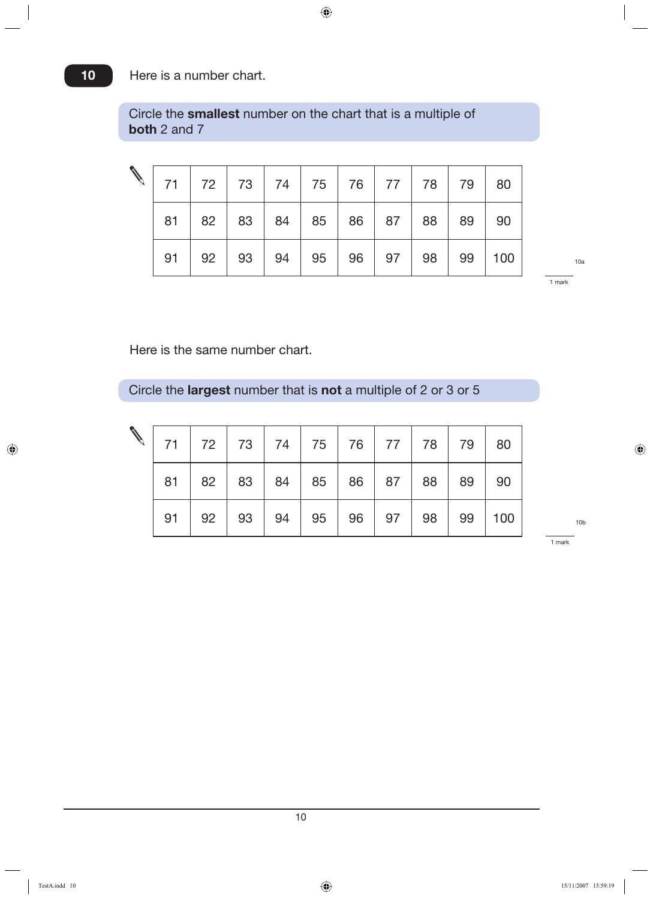#### Here is a number chart.

Circle the **smallest** number on the chart that is a multiple of **both** 2 and 7

|    | 71   72   73   74   75   76   77   78   79   80                           |                                    |  |  |          |     |
|----|---------------------------------------------------------------------------|------------------------------------|--|--|----------|-----|
|    | $81 \mid 82 \mid 83 \mid 84 \mid 85 \mid 86 \mid 87 \mid 88 \mid 89 \mid$ |                                    |  |  | 90       |     |
| 91 |                                                                           | $92$   93   94   95   96   97   98 |  |  | 99   100 | 10a |

1 mark

Here is the same number chart.

Circle the **largest** number that is **not** a multiple of 2 or 3 or 5

|  | 71   72   73   74   75   76   77   78   79                                |  |  |  | 80     |
|--|---------------------------------------------------------------------------|--|--|--|--------|
|  | $81 \mid 82 \mid 83 \mid 84 \mid 85 \mid 86 \mid 87 \mid 88 \mid 89 \mid$ |  |  |  | 90     |
|  | $91   92   93   94   95   96   97   98  $                                 |  |  |  | 99 100 |

1 mark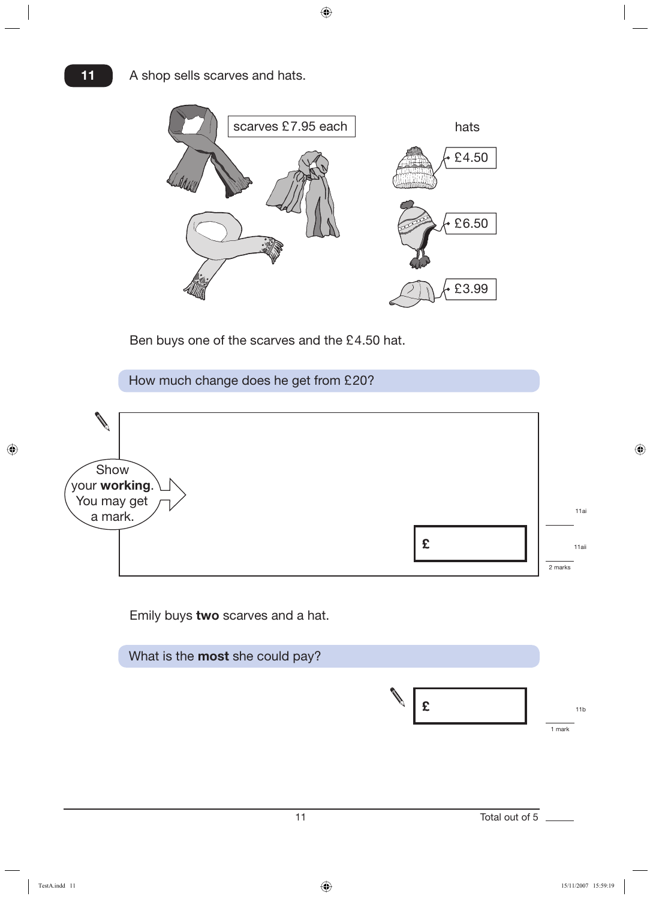

Ben buys one of the scarves and the £4.50 hat.

How much change does he get from £20?



Emily buys **two** scarves and a hat.

| What is the most she could pay? |                         |
|---------------------------------|-------------------------|
|                                 | 11 <sub>b</sub><br>mark |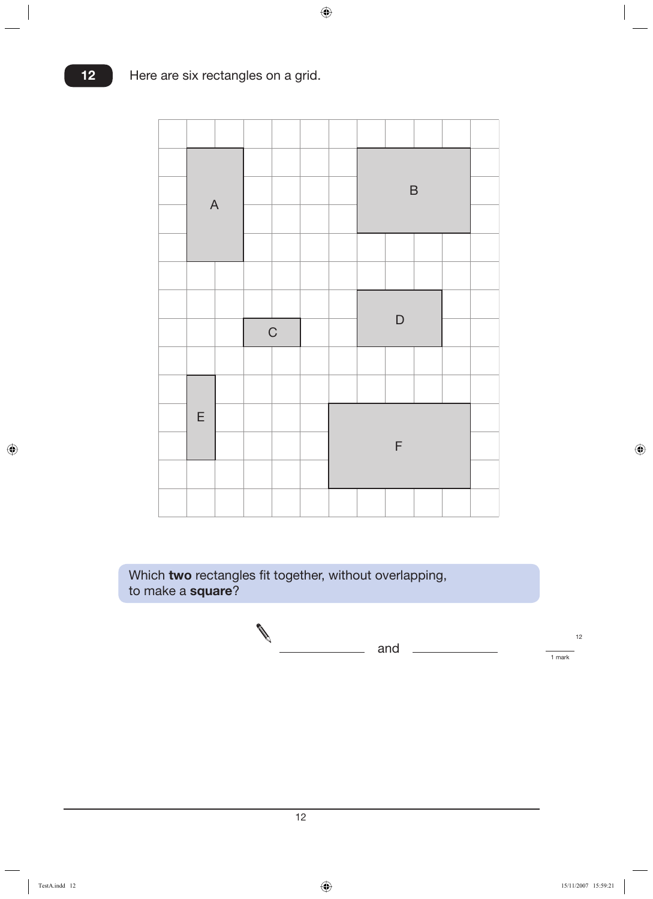|                           |  |             |  | $\mathsf B$ |  |  |
|---------------------------|--|-------------|--|-------------|--|--|
| $\boldsymbol{\mathsf{A}}$ |  |             |  |             |  |  |
|                           |  |             |  |             |  |  |
|                           |  |             |  |             |  |  |
|                           |  |             |  | $\mathsf D$ |  |  |
|                           |  | $\mathsf C$ |  |             |  |  |
|                           |  |             |  |             |  |  |
|                           |  |             |  |             |  |  |
|                           |  |             |  |             |  |  |
| $\mathsf E$               |  |             |  |             |  |  |
|                           |  |             |  | $\mathsf F$ |  |  |
|                           |  |             |  |             |  |  |

Which **two** rectangles fit together, without overlapping, to make a **square**?

$$
\bigotimes \qquad \qquad \text{and} \qquad \qquad \qquad \frac{12}{1 \text{ mark}}
$$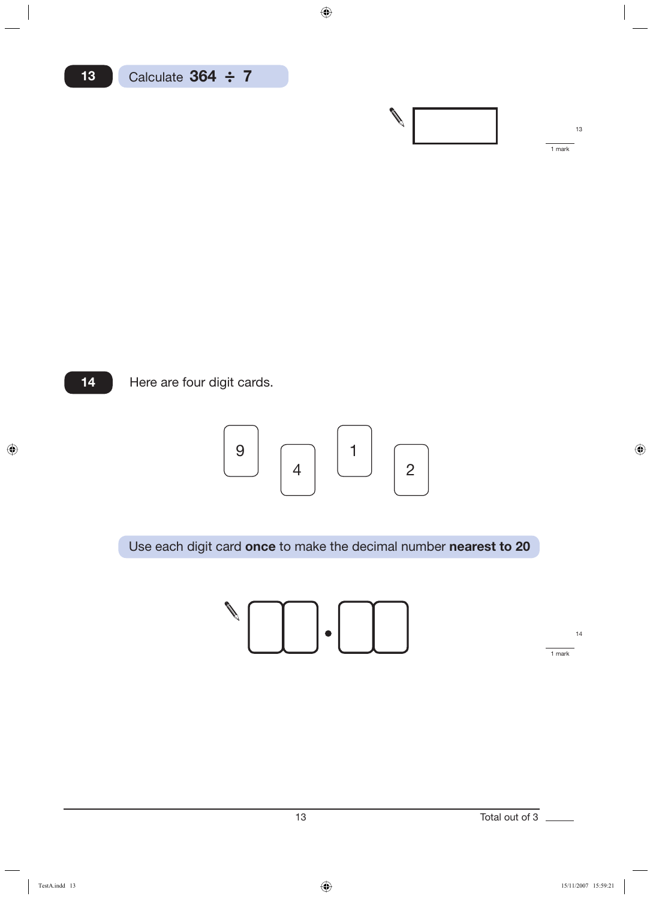



Here are four digit cards.



Use each digit card **once** to make the decimal number **nearest to 20**



14

1 mark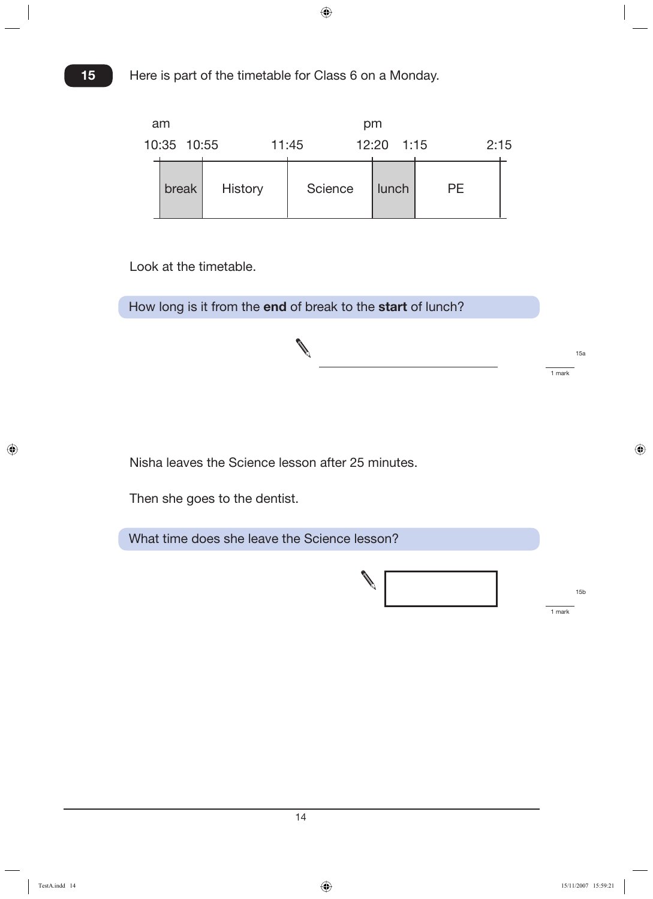| am          |                |         | pm         |           |      |  |
|-------------|----------------|---------|------------|-----------|------|--|
| 10:35 10:55 |                | 11:45   | 12:20 1:15 |           | 2:15 |  |
| break       | <b>History</b> | Science | lunch      | <b>PE</b> |      |  |

Look at the timetable.

How long is it from the **end** of break to the **start** of lunch?



Nisha leaves the Science lesson after 25 minutes.

Then she goes to the dentist.

What time does she leave the Science lesson?



15a

1 mark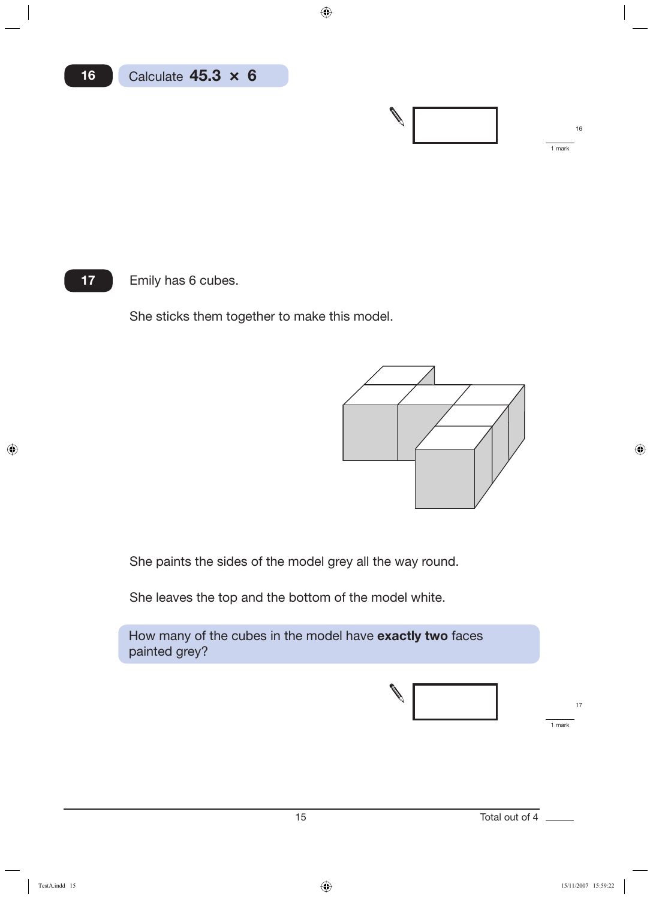

Emily has 6 cubes.

**17**

She sticks them together to make this model.



She paints the sides of the model grey all the way round.

She leaves the top and the bottom of the model white.

How many of the cubes in the model have **exactly two** faces painted grey?

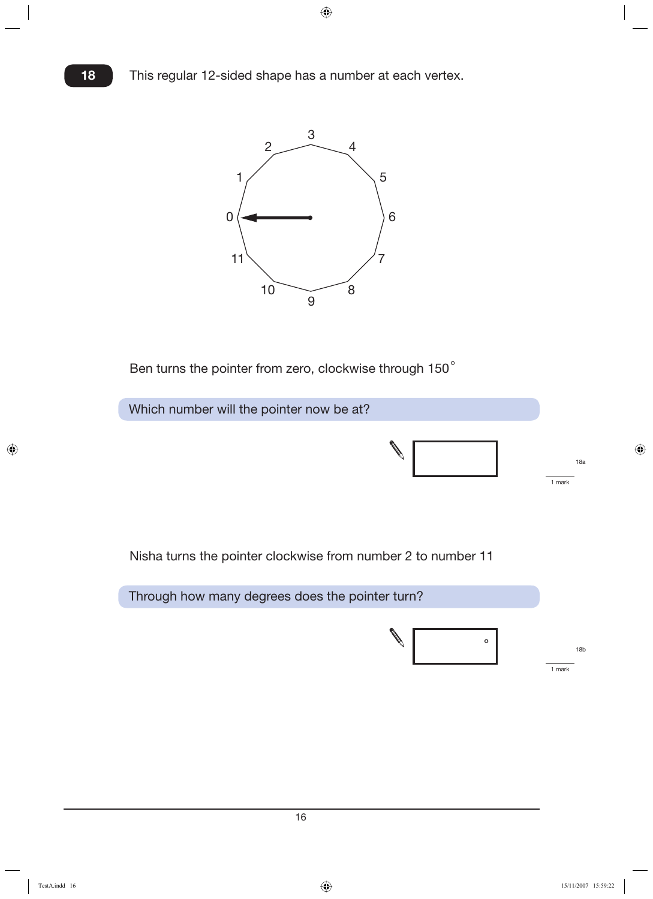

Ben turns the pointer from zero, clockwise through 150°

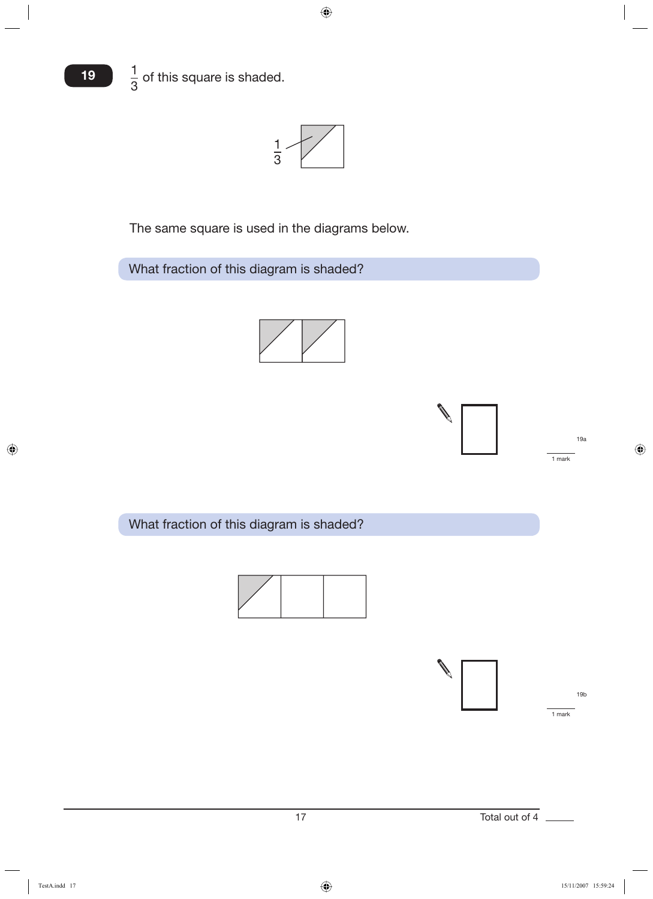



The same square is used in the diagrams below.

What fraction of this diagram is shaded?





What fraction of this diagram is shaded?



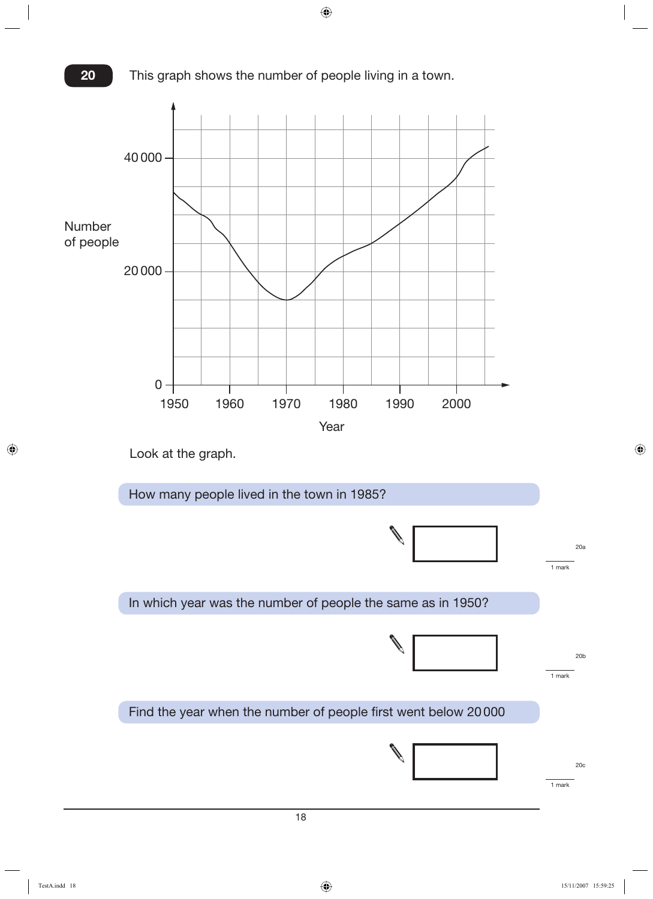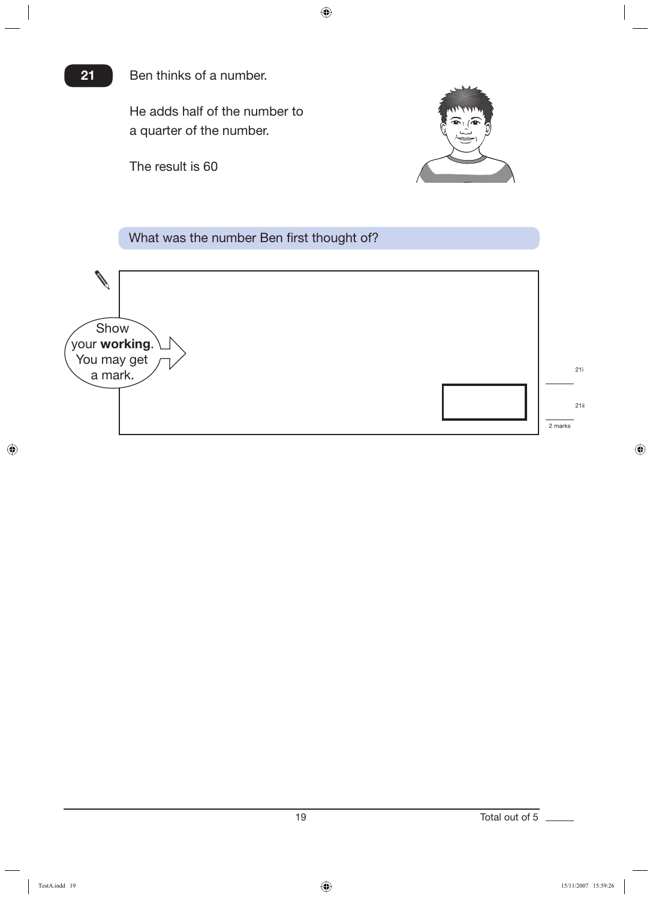#### Ben thinks of a number.

He adds half of the number to a quarter of the number.

The result is 60

**21**



#### What was the number Ben first thought of?

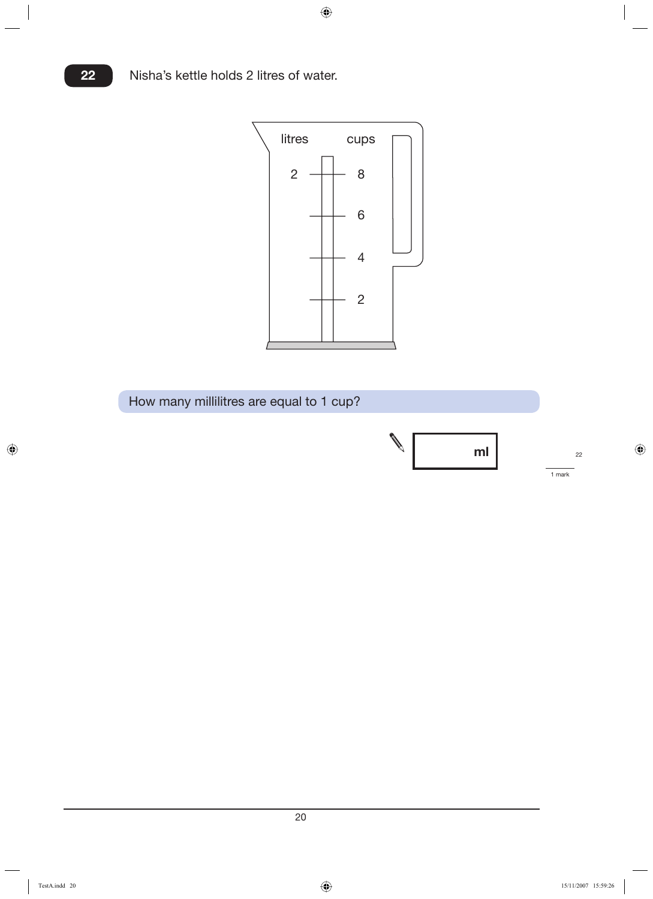

How many millilitres are equal to 1 cup?



<u>20 and 20 and 20 and 20 and 20 and 20 and 20 and 20 and 20 and 20 and 20 and 20 and 20 and 20 and 20 and 20 and 20 and 20 and 20 and 20 and 20 and 20 and 20 and 20 and 20 and 20 and 20 and 20 and 20 and 20 and 20 and 20 a</u>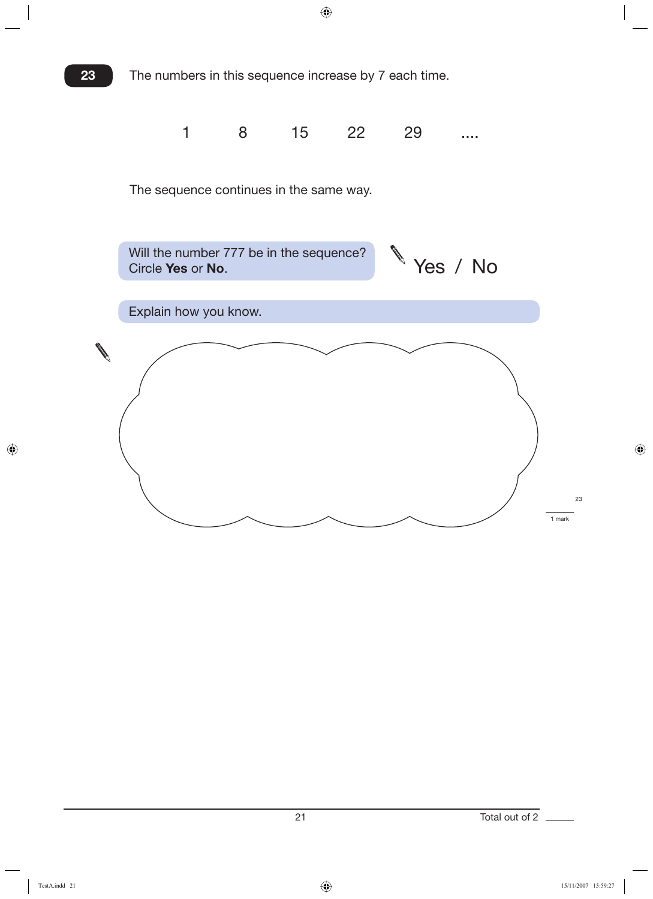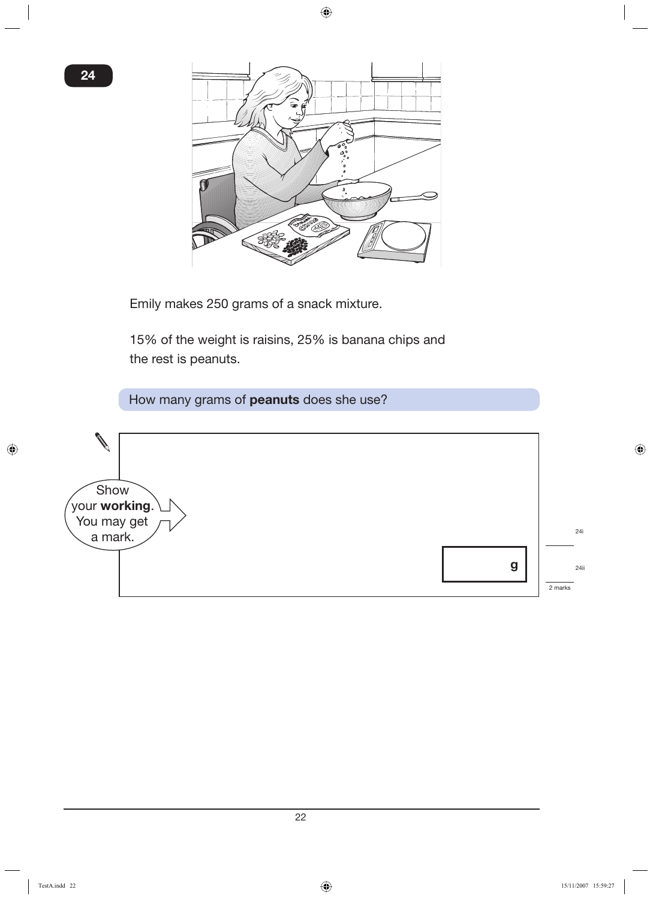

Emily makes 250 grams of a snack mixture.

15% of the weight is raisins, 25% is banana chips and the rest is peanuts.

How many grams of **peanuts** does she use?